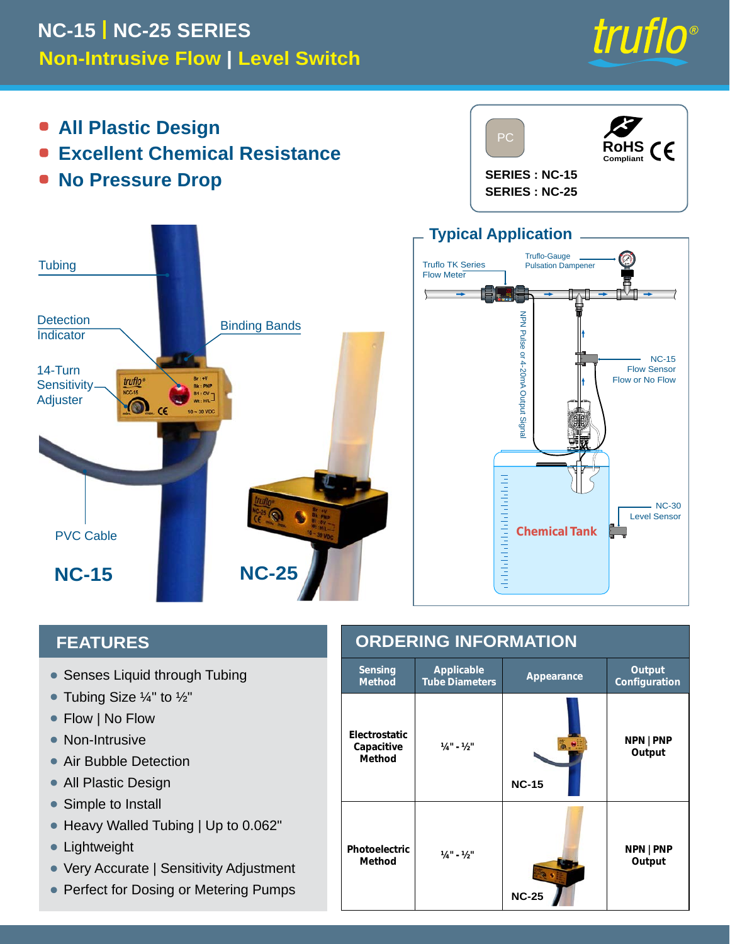## **Non-Intrusive Flow | Level Switch NC-15 | NC-25 SERIES**



- **All Plastic Design**  $\bullet$
- **Excellent Chemical Resistance**
- **No Pressure Drop**





## **FEATURES**

- Senses Liquid through Tubing
- $\bullet$  Tubing Size  $\frac{1}{4}$ " to  $\frac{1}{2}$ "
- Flow | No Flow  $\bullet$
- Non-Intrusive
- Air Bubble Detection
- All Plastic Design •
- Simple to Install  $\bullet$
- Heavy Walled Tubing | Up to 0.062" •
- Lightweight
- Very Accurate | Sensitivity Adjustment
- Perfect for Dosing or Metering Pumps

| <b>ORDERING INFORMATION</b>           |                                                          |                   |                         |  |
|---------------------------------------|----------------------------------------------------------|-------------------|-------------------------|--|
| <b>Sensing</b><br><b>Method</b>       | <b>Applicable</b><br>Appearance<br><b>Tube Diameters</b> |                   | Output<br>Configuration |  |
| Electrostatic<br>Capacitive<br>Method | $1/4" - 1/2"$                                            | ை<br><b>NC-15</b> | NPN   PNP<br>Output     |  |
| <b>Photoelectric</b><br><b>Method</b> | $1/4" - 1/2"$                                            | <b>NC-25</b>      | NPN   PNP<br>Output     |  |